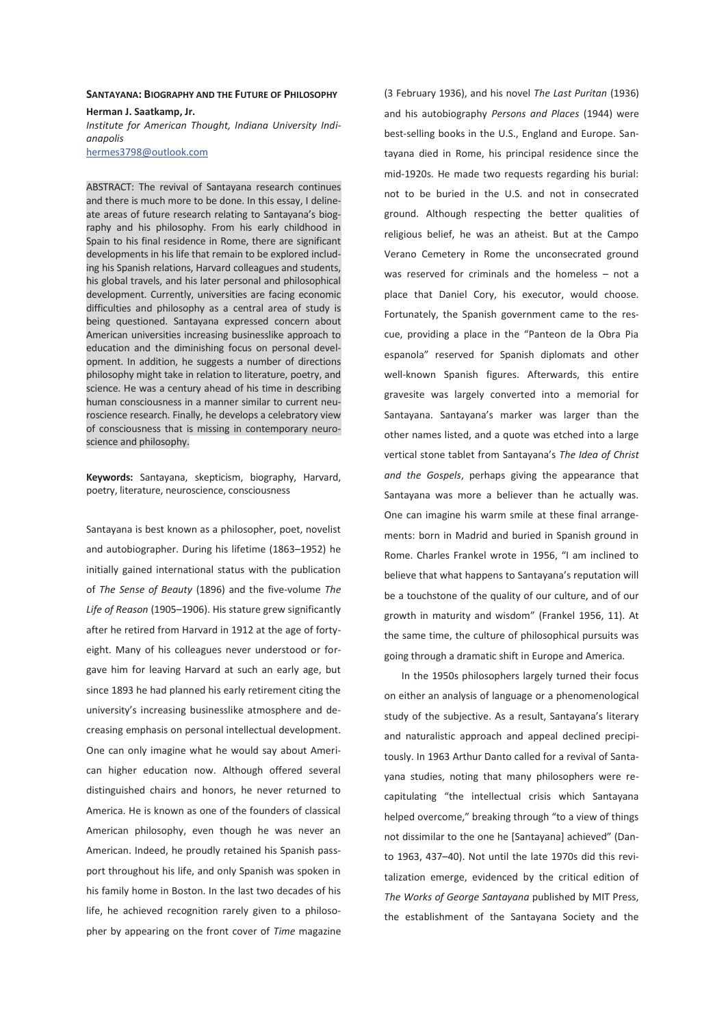# **SANTAYANA: BIOGRAPHY AND THE FUTURE OF PHILOSOPHY Herman J. Saatkamp, Jr.**

*Institute for American Thought, Indiana University Indianapolis*  hermes3798@outlook.com

ABSTRACT: The revival of Santayana research continues and there is much more to be done. In this essay, I delineate areas of future research relating to Santayana's biography and his philosophy. From his early childhood in Spain to his final residence in Rome, there are significant developments in his life that remain to be explored including his Spanish relations, Harvard colleagues and students, his global travels, and his later personal and philosophical development. Currently, universities are facing economic difficulties and philosophy as a central area of study is being questioned. Santayana expressed concern about American universities increasing businesslike approach to education and the diminishing focus on personal development. In addition, he suggests a number of directions philosophy might take in relation to literature, poetry, and science. He was a century ahead of his time in describing human consciousness in a manner similar to current neuroscience research. Finally, he develops a celebratory view of consciousness that is missing in contemporary neuroscience and philosophy.

**Keywords:** Santayana, skepticism, biography, Harvard, poetry, literature, neuroscience, consciousness

Santayana is best known as a philosopher, poet, novelist and autobiographer. During his lifetime (1863–1952) he initially gained international status with the publication of *The Sense of Beauty* (1896) and the five-volume *The Life of Reason* (1905–1906). His stature grew significantly after he retired from Harvard in 1912 at the age of fortyeight. Many of his colleagues never understood or forgave him for leaving Harvard at such an early age, but since 1893 he had planned his early retirement citing the university's increasing businesslike atmosphere and decreasing emphasis on personal intellectual development. One can only imagine what he would say about American higher education now. Although offered several distinguished chairs and honors, he never returned to America. He is known as one of the founders of classical American philosophy, even though he was never an American. Indeed, he proudly retained his Spanish passport throughout his life, and only Spanish was spoken in his family home in Boston. In the last two decades of his life, he achieved recognition rarely given to a philosopher by appearing on the front cover of *Time* magazine

(3 February 1936), and his novel *The Last Puritan* (1936) and his autobiography *Persons and Places* (1944) were best-selling books in the U.S., England and Europe. Santayana died in Rome, his principal residence since the mid-1920s. He made two requests regarding his burial: not to be buried in the U.S. and not in consecrated ground. Although respecting the better qualities of religious belief, he was an atheist. But at the Campo Verano Cemetery in Rome the unconsecrated ground was reserved for criminals and the homeless – not a place that Daniel Cory, his executor, would choose. Fortunately, the Spanish government came to the rescue, providing a place in the "Panteon de la Obra Pia espanola" reserved for Spanish diplomats and other well-known Spanish figures. Afterwards, this entire gravesite was largely converted into a memorial for Santayana. Santayana's marker was larger than the other names listed, and a quote was etched into a large vertical stone tablet from Santayana's *The Idea of Christ and the Gospels*, perhaps giving the appearance that Santayana was more a believer than he actually was. One can imagine his warm smile at these final arrangements: born in Madrid and buried in Spanish ground in Rome. Charles Frankel wrote in 1956, "I am inclined to believe that what happens to Santayana's reputation will be a touchstone of the quality of our culture, and of our growth in maturity and wisdom" (Frankel 1956, 11). At the same time, the culture of philosophical pursuits was going through a dramatic shift in Europe and America.

In the 1950s philosophers largely turned their focus on either an analysis of language or a phenomenological study of the subjective. As a result, Santayana's literary and naturalistic approach and appeal declined precipitously. In 1963 Arthur Danto called for a revival of Santayana studies, noting that many philosophers were recapitulating "the intellectual crisis which Santayana helped overcome," breaking through "to a view of things not dissimilar to the one he [Santayana] achieved" (Danto 1963, 437–40). Not until the late 1970s did this revitalization emerge, evidenced by the critical edition of *The Works of George Santayana* published by MIT Press, the establishment of the Santayana Society and the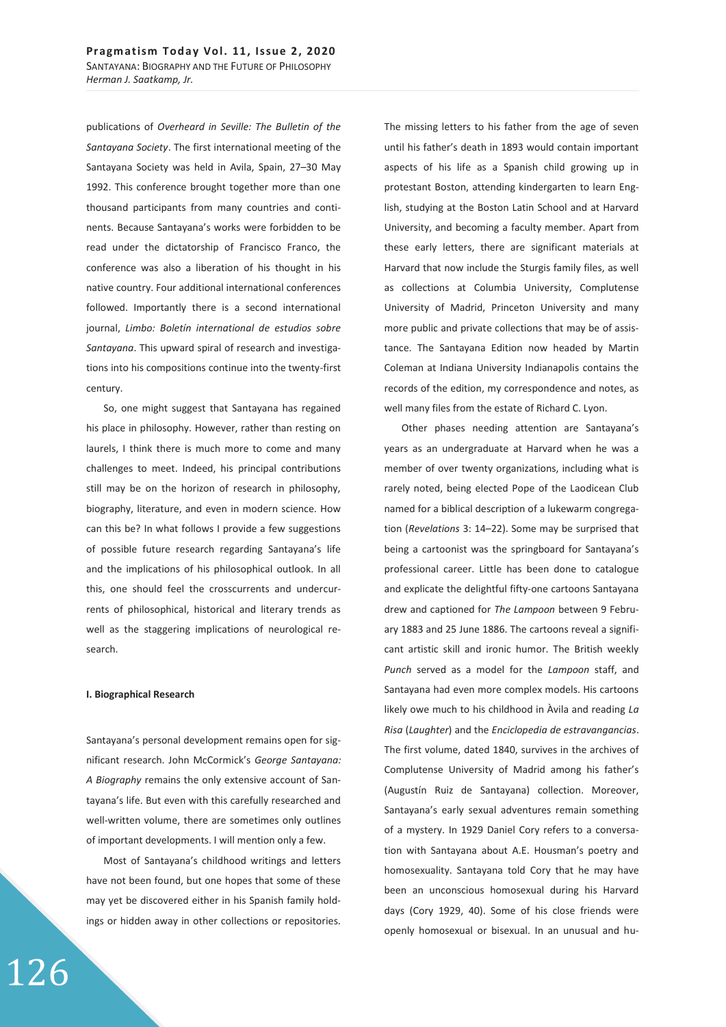publications of *Overheard in Seville: The Bulletin of the Santayana Society*. The first international meeting of the Santayana Society was held in Avila, Spain, 27–30 May 1992. This conference brought together more than one thousand participants from many countries and continents. Because Santayana's works were forbidden to be read under the dictatorship of Francisco Franco, the conference was also a liberation of his thought in his native country. Four additional international conferences followed. Importantly there is a second international journal, *Limbo: Boletín international de estudios sobre Santayana*. This upward spiral of research and investigations into his compositions continue into the twenty-first century.

So, one might suggest that Santayana has regained his place in philosophy. However, rather than resting on laurels, I think there is much more to come and many challenges to meet. Indeed, his principal contributions still may be on the horizon of research in philosophy, biography, literature, and even in modern science. How can this be? In what follows I provide a few suggestions of possible future research regarding Santayana's life and the implications of his philosophical outlook. In all this, one should feel the crosscurrents and undercurrents of philosophical, historical and literary trends as well as the staggering implications of neurological research.

#### **I. Biographical Research**

Santayana's personal development remains open for significant research. John McCormick's *George Santayana: A Biography* remains the only extensive account of Santayana's life. But even with this carefully researched and well-written volume, there are sometimes only outlines of important developments. I will mention only a few.

Most of Santayana's childhood writings and letters have not been found, but one hopes that some of these may yet be discovered either in his Spanish family holdings or hidden away in other collections or repositories.

The missing letters to his father from the age of seven until his father's death in 1893 would contain important aspects of his life as a Spanish child growing up in protestant Boston, attending kindergarten to learn English, studying at the Boston Latin School and at Harvard University, and becoming a faculty member. Apart from these early letters, there are significant materials at Harvard that now include the Sturgis family files, as well as collections at Columbia University, Complutense University of Madrid, Princeton University and many more public and private collections that may be of assistance. The Santayana Edition now headed by Martin Coleman at Indiana University Indianapolis contains the records of the edition, my correspondence and notes, as well many files from the estate of Richard C. Lyon.

Other phases needing attention are Santayana's years as an undergraduate at Harvard when he was a member of over twenty organizations, including what is rarely noted, being elected Pope of the Laodicean Club named for a biblical description of a lukewarm congregation (*Revelations* 3: 14–22). Some may be surprised that being a cartoonist was the springboard for Santayana's professional career. Little has been done to catalogue and explicate the delightful fifty-one cartoons Santayana drew and captioned for *The Lampoon* between 9 February 1883 and 25 June 1886. The cartoons reveal a significant artistic skill and ironic humor. The British weekly *Punch* served as a model for the *Lampoon* staff, and Santayana had even more complex models. His cartoons likely owe much to his childhood in Àvila and reading *La Risa* (*Laughter*) and the *Enciclopedia de estravangancias*. The first volume, dated 1840, survives in the archives of Complutense University of Madrid among his father's (Augustín Ruiz de Santayana) collection. Moreover, Santayana's early sexual adventures remain something of a mystery. In 1929 Daniel Cory refers to a conversation with Santayana about A.E. Housman's poetry and homosexuality. Santayana told Cory that he may have been an unconscious homosexual during his Harvard days (Cory 1929, 40). Some of his close friends were openly homosexual or bisexual. In an unusual and hu-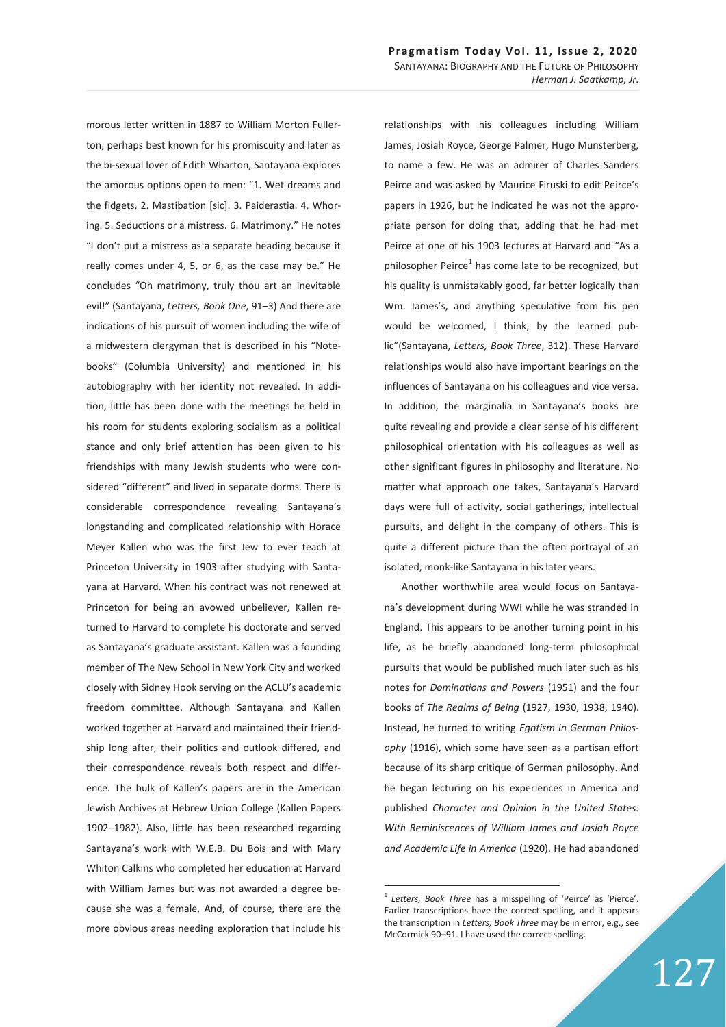morous letter written in 1887 to William Morton Fullerton, perhaps best known for his promiscuity and later as the bi-sexual lover of Edith Wharton, Santayana explores the amorous options open to men: "1. Wet dreams and the fidgets. 2. Mastibation [sic]. 3. Paiderastia. 4. Whoring. 5. Seductions or a mistress. 6. Matrimony." He notes "I don't put a mistress as a separate heading because it really comes under 4, 5, or 6, as the case may be." He concludes "Oh matrimony, truly thou art an inevitable evil!" (Santayana, *Letters, Book One*, 91–3) And there are indications of his pursuit of women including the wife of a midwestern clergyman that is described in his "Notebooks" (Columbia University) and mentioned in his autobiography with her identity not revealed. In addition, little has been done with the meetings he held in his room for students exploring socialism as a political stance and only brief attention has been given to his friendships with many Jewish students who were considered "different" and lived in separate dorms. There is considerable correspondence revealing Santayana's longstanding and complicated relationship with Horace Meyer Kallen who was the first Jew to ever teach at Princeton University in 1903 after studying with Santayana at Harvard. When his contract was not renewed at Princeton for being an avowed unbeliever, Kallen returned to Harvard to complete his doctorate and served as Santayana's graduate assistant. Kallen was a founding member of The New School in New York City and worked closely with Sidney Hook serving on the ACLU's academic freedom committee. Although Santayana and Kallen worked together at Harvard and maintained their friendship long after, their politics and outlook differed, and their correspondence reveals both respect and difference. The bulk of Kallen's papers are in the American Jewish Archives at Hebrew Union College (Kallen Papers 1902–1982). Also, little has been researched regarding Santayana's work with W.E.B. Du Bois and with Mary Whiton Calkins who completed her education at Harvard with William James but was not awarded a degree because she was a female. And, of course, there are the more obvious areas needing exploration that include his

relationships with his colleagues including William James, Josiah Royce, George Palmer, Hugo Munsterberg, to name a few. He was an admirer of Charles Sanders Peirce and was asked by Maurice Firuski to edit Peirce's papers in 1926, but he indicated he was not the appropriate person for doing that, adding that he had met Peirce at one of his 1903 lectures at Harvard and "As a philosopher Peirce<sup>1</sup> has come late to be recognized, but his quality is unmistakably good, far better logically than Wm. James's, and anything speculative from his pen would be welcomed, I think, by the learned public"(Santayana, *Letters, Book Three*, 312). These Harvard relationships would also have important bearings on the influences of Santayana on his colleagues and vice versa. In addition, the marginalia in Santayana's books are quite revealing and provide a clear sense of his different philosophical orientation with his colleagues as well as other significant figures in philosophy and literature. No matter what approach one takes, Santayana's Harvard days were full of activity, social gatherings, intellectual pursuits, and delight in the company of others. This is quite a different picture than the often portrayal of an isolated, monk-like Santayana in his later years.

Another worthwhile area would focus on Santayana's development during WWI while he was stranded in England. This appears to be another turning point in his life, as he briefly abandoned long-term philosophical pursuits that would be published much later such as his notes for *Dominations and Powers* (1951) and the four books of *The Realms of Being* (1927, 1930, 1938, 1940). Instead, he turned to writing *Egotism in German Philosophy* (1916), which some have seen as a partisan effort because of its sharp critique of German philosophy. And he began lecturing on his experiences in America and published *Character and Opinion in the United States: With Reminiscences of William James and Josiah Royce and Academic Life in America* (1920). He had abandoned

-

Letters, Book Three has a misspelling of 'Peirce' as 'Pierce'. Earlier transcriptions have the correct spelling, and It appears the transcription in *Letters, Book Three* may be in error, e.g., see McCormick 90–91. I have used the correct spelling.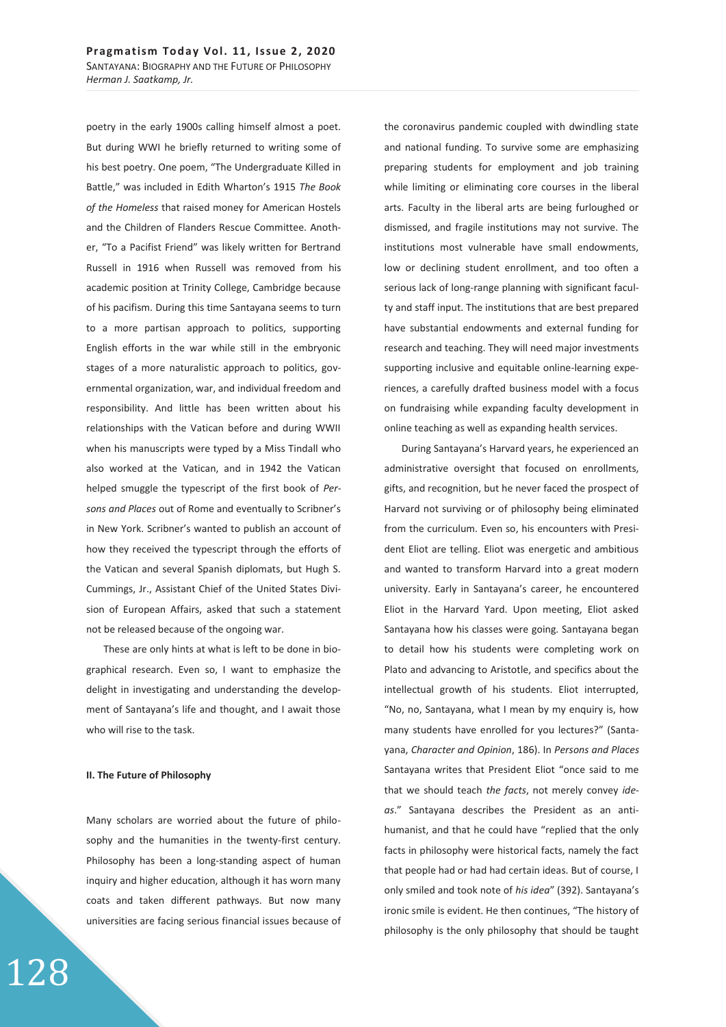poetry in the early 1900s calling himself almost a poet. But during WWI he briefly returned to writing some of his best poetry. One poem, "The Undergraduate Killed in Battle," was included in Edith Wharton's 1915 *The Book of the Homeless* that raised money for American Hostels and the Children of Flanders Rescue Committee. Another, "To a Pacifist Friend" was likely written for Bertrand Russell in 1916 when Russell was removed from his academic position at Trinity College, Cambridge because of his pacifism. During this time Santayana seems to turn to a more partisan approach to politics, supporting English efforts in the war while still in the embryonic stages of a more naturalistic approach to politics, governmental organization, war, and individual freedom and responsibility. And little has been written about his relationships with the Vatican before and during WWII when his manuscripts were typed by a Miss Tindall who also worked at the Vatican, and in 1942 the Vatican helped smuggle the typescript of the first book of *Persons and Places* out of Rome and eventually to Scribner's in New York. Scribner's wanted to publish an account of how they received the typescript through the efforts of the Vatican and several Spanish diplomats, but Hugh S. Cummings, Jr., Assistant Chief of the United States Division of European Affairs, asked that such a statement not be released because of the ongoing war.

These are only hints at what is left to be done in biographical research. Even so, I want to emphasize the delight in investigating and understanding the development of Santayana's life and thought, and I await those who will rise to the task.

#### **II. The Future of Philosophy**

128

Many scholars are worried about the future of philosophy and the humanities in the twenty-first century. Philosophy has been a long-standing aspect of human inquiry and higher education, although it has worn many coats and taken different pathways. But now many universities are facing serious financial issues because of the coronavirus pandemic coupled with dwindling state and national funding. To survive some are emphasizing preparing students for employment and job training while limiting or eliminating core courses in the liberal arts. Faculty in the liberal arts are being furloughed or dismissed, and fragile institutions may not survive. The institutions most vulnerable have small endowments, low or declining student enrollment, and too often a serious lack of long-range planning with significant faculty and staff input. The institutions that are best prepared have substantial endowments and external funding for research and teaching. They will need major investments supporting inclusive and equitable online-learning experiences, a carefully drafted business model with a focus on fundraising while expanding faculty development in online teaching as well as expanding health services.

During Santayana's Harvard years, he experienced an administrative oversight that focused on enrollments, gifts, and recognition, but he never faced the prospect of Harvard not surviving or of philosophy being eliminated from the curriculum. Even so, his encounters with President Eliot are telling. Eliot was energetic and ambitious and wanted to transform Harvard into a great modern university. Early in Santayana's career, he encountered Eliot in the Harvard Yard. Upon meeting, Eliot asked Santayana how his classes were going. Santayana began to detail how his students were completing work on Plato and advancing to Aristotle, and specifics about the intellectual growth of his students. Eliot interrupted, "No, no, Santayana, what I mean by my enquiry is, how many students have enrolled for you lectures?" (Santayana, *Character and Opinion*, 186). In *Persons and Places* Santayana writes that President Eliot "once said to me that we should teach *the facts*, not merely convey *ideas*." Santayana describes the President as an antihumanist, and that he could have "replied that the only facts in philosophy were historical facts, namely the fact that people had or had had certain ideas. But of course, I only smiled and took note of *his idea*" (392). Santayana's ironic smile is evident. He then continues, "The history of philosophy is the only philosophy that should be taught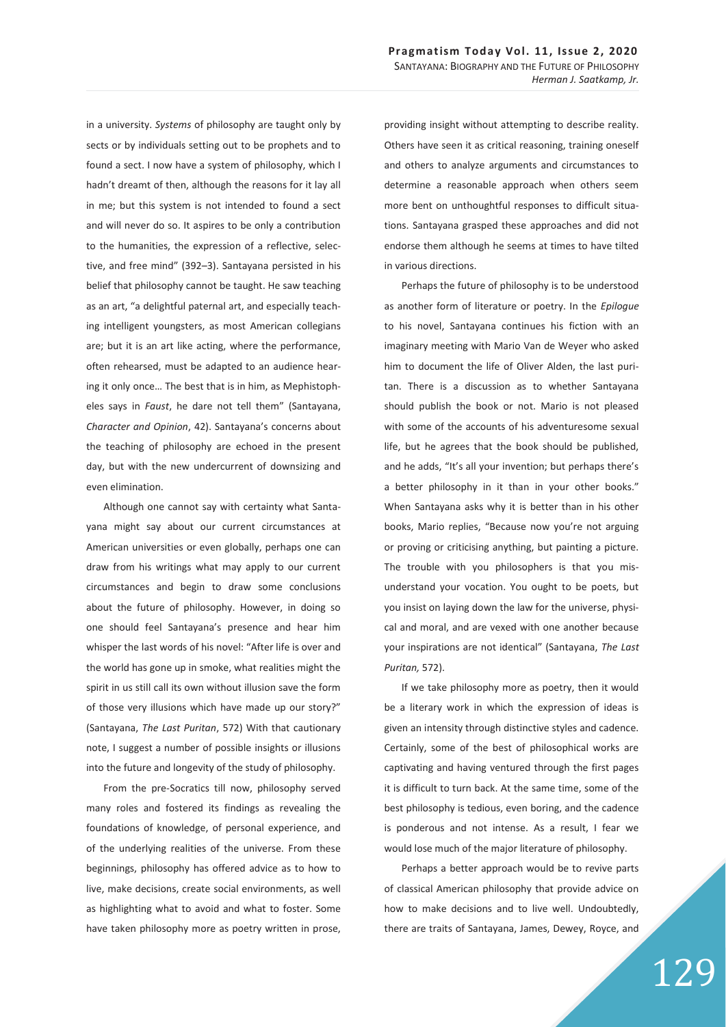in a university. *Systems* of philosophy are taught only by sects or by individuals setting out to be prophets and to found a sect. I now have a system of philosophy, which I hadn't dreamt of then, although the reasons for it lay all in me; but this system is not intended to found a sect and will never do so. It aspires to be only a contribution to the humanities, the expression of a reflective, selective, and free mind" (392–3). Santayana persisted in his belief that philosophy cannot be taught. He saw teaching as an art, "a delightful paternal art, and especially teaching intelligent youngsters, as most American collegians are; but it is an art like acting, where the performance, often rehearsed, must be adapted to an audience hearing it only once… The best that is in him, as Mephistopheles says in *Faust*, he dare not tell them" (Santayana, *Character and Opinion*, 42). Santayana's concerns about the teaching of philosophy are echoed in the present day, but with the new undercurrent of downsizing and even elimination.

Although one cannot say with certainty what Santayana might say about our current circumstances at American universities or even globally, perhaps one can draw from his writings what may apply to our current circumstances and begin to draw some conclusions about the future of philosophy. However, in doing so one should feel Santayana's presence and hear him whisper the last words of his novel: "After life is over and the world has gone up in smoke, what realities might the spirit in us still call its own without illusion save the form of those very illusions which have made up our story?" (Santayana, *The Last Puritan*, 572) With that cautionary note, I suggest a number of possible insights or illusions into the future and longevity of the study of philosophy.

From the pre-Socratics till now, philosophy served many roles and fostered its findings as revealing the foundations of knowledge, of personal experience, and of the underlying realities of the universe. From these beginnings, philosophy has offered advice as to how to live, make decisions, create social environments, as well as highlighting what to avoid and what to foster. Some have taken philosophy more as poetry written in prose,

providing insight without attempting to describe reality. Others have seen it as critical reasoning, training oneself and others to analyze arguments and circumstances to determine a reasonable approach when others seem more bent on unthoughtful responses to difficult situations. Santayana grasped these approaches and did not endorse them although he seems at times to have tilted in various directions.

Perhaps the future of philosophy is to be understood as another form of literature or poetry. In the *Epilogue* to his novel, Santayana continues his fiction with an imaginary meeting with Mario Van de Weyer who asked him to document the life of Oliver Alden, the last puritan. There is a discussion as to whether Santayana should publish the book or not. Mario is not pleased with some of the accounts of his adventuresome sexual life, but he agrees that the book should be published, and he adds, "It's all your invention; but perhaps there's a better philosophy in it than in your other books." When Santayana asks why it is better than in his other books, Mario replies, "Because now you're not arguing or proving or criticising anything, but painting a picture. The trouble with you philosophers is that you misunderstand your vocation. You ought to be poets, but you insist on laying down the law for the universe, physical and moral, and are vexed with one another because your inspirations are not identical" (Santayana, *The Last Puritan,* 572).

If we take philosophy more as poetry, then it would be a literary work in which the expression of ideas is given an intensity through distinctive styles and cadence. Certainly, some of the best of philosophical works are captivating and having ventured through the first pages it is difficult to turn back. At the same time, some of the best philosophy is tedious, even boring, and the cadence is ponderous and not intense. As a result, I fear we would lose much of the major literature of philosophy.

Perhaps a better approach would be to revive parts of classical American philosophy that provide advice on how to make decisions and to live well. Undoubtedly, there are traits of Santayana, James, Dewey, Royce, and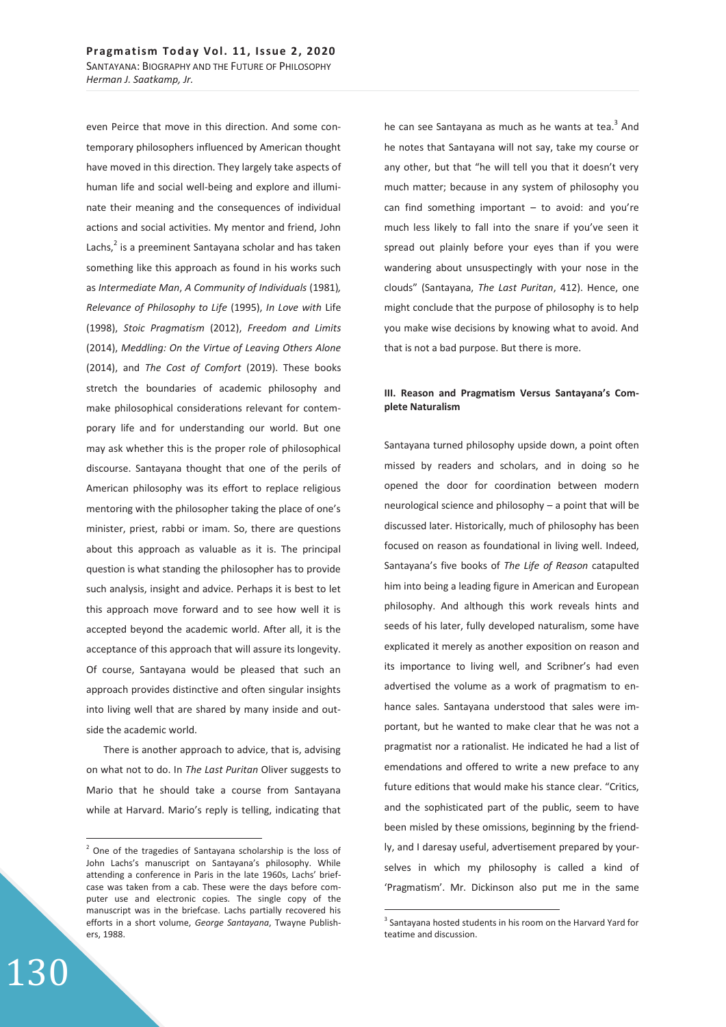even Peirce that move in this direction. And some contemporary philosophers influenced by American thought have moved in this direction. They largely take aspects of human life and social well-being and explore and illuminate their meaning and the consequences of individual actions and social activities. My mentor and friend, John Lachs,<sup>2</sup> is a preeminent Santayana scholar and has taken something like this approach as found in his works such as *Intermediate Man*, *A Community of Individuals* (1981)*, Relevance of Philosophy to Life* (1995), *In Love with* Life (1998), *Stoic Pragmatism* (2012), *Freedom and Limits*  (2014), *Meddling: On the Virtue of Leaving Others Alone* (2014), and *The Cost of Comfort* (2019). These books stretch the boundaries of academic philosophy and make philosophical considerations relevant for contemporary life and for understanding our world. But one may ask whether this is the proper role of philosophical discourse. Santayana thought that one of the perils of American philosophy was its effort to replace religious mentoring with the philosopher taking the place of one's minister, priest, rabbi or imam. So, there are questions about this approach as valuable as it is. The principal question is what standing the philosopher has to provide such analysis, insight and advice. Perhaps it is best to let this approach move forward and to see how well it is accepted beyond the academic world. After all, it is the acceptance of this approach that will assure its longevity. Of course, Santayana would be pleased that such an approach provides distinctive and often singular insights into living well that are shared by many inside and outside the academic world.

There is another approach to advice, that is, advising on what not to do. In *The Last Puritan* Oliver suggests to Mario that he should take a course from Santayana while at Harvard. Mario's reply is telling, indicating that he can see Santayana as much as he wants at tea.<sup>3</sup> And he notes that Santayana will not say, take my course or any other, but that "he will tell you that it doesn't very much matter; because in any system of philosophy you can find something important  $-$  to avoid: and you're much less likely to fall into the snare if you've seen it spread out plainly before your eyes than if you were wandering about unsuspectingly with your nose in the clouds" (Santayana, *The Last Puritan*, 412). Hence, one might conclude that the purpose of philosophy is to help you make wise decisions by knowing what to avoid. And that is not a bad purpose. But there is more.

## **III. Reason and Pragmatism Versus Santayana's Complete Naturalism**

Santayana turned philosophy upside down, a point often missed by readers and scholars, and in doing so he opened the door for coordination between modern neurological science and philosophy – a point that will be discussed later. Historically, much of philosophy has been focused on reason as foundational in living well. Indeed, Santayana's five books of *The Life of Reason* catapulted him into being a leading figure in American and European philosophy. And although this work reveals hints and seeds of his later, fully developed naturalism, some have explicated it merely as another exposition on reason and its importance to living well, and Scribner's had even advertised the volume as a work of pragmatism to enhance sales. Santayana understood that sales were important, but he wanted to make clear that he was not a pragmatist nor a rationalist. He indicated he had a list of emendations and offered to write a new preface to any future editions that would make his stance clear. "Critics, and the sophisticated part of the public, seem to have been misled by these omissions, beginning by the friendly, and I daresay useful, advertisement prepared by yourselves in which my philosophy is called a kind of 'Pragmatism'. Mr. Dickinson also put me in the same

 $\overline{a}$ 

 $\overline{a}$ 

 $2$  One of the tragedies of Santayana scholarship is the loss of John Lachs's manuscript on Santayana's philosophy. While attending a conference in Paris in the late 1960s, Lachs' briefcase was taken from a cab. These were the days before computer use and electronic copies. The single copy of the manuscript was in the briefcase. Lachs partially recovered his efforts in a short volume, *George Santayana*, Twayne Publishers, 1988.

<sup>&</sup>lt;sup>3</sup> Santayana hosted students in his room on the Harvard Yard for teatime and discussion.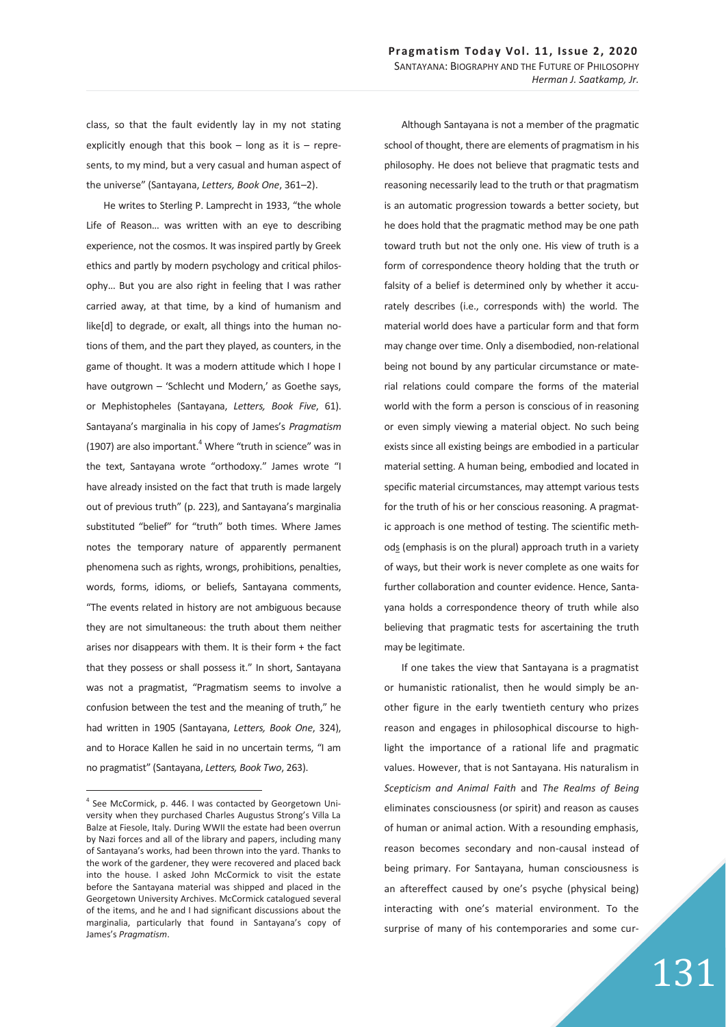class, so that the fault evidently lay in my not stating explicitly enough that this book  $-$  long as it is  $-$  represents, to my mind, but a very casual and human aspect of the universe" (Santayana, *Letters, Book One*, 361–2).

He writes to Sterling P. Lamprecht in 1933, "the whole Life of Reason… was written with an eye to describing experience, not the cosmos. It was inspired partly by Greek ethics and partly by modern psychology and critical philosophy… But you are also right in feeling that I was rather carried away, at that time, by a kind of humanism and like[d] to degrade, or exalt, all things into the human notions of them, and the part they played, as counters, in the game of thought. It was a modern attitude which I hope I have outgrown – 'Schlecht und Modern,' as Goethe says, or Mephistopheles (Santayana, *Letters, Book Five*, 61). Santayana's marginalia in his copy of James's *Pragmatism* (1907) are also important. $4$  Where "truth in science" was in the text, Santayana wrote "orthodoxy." James wrote "I have already insisted on the fact that truth is made largely out of previous truth" (p. 223), and Santayana's marginalia substituted "belief" for "truth" both times. Where James notes the temporary nature of apparently permanent phenomena such as rights, wrongs, prohibitions, penalties, words, forms, idioms, or beliefs, Santayana comments, "The events related in history are not ambiguous because they are not simultaneous: the truth about them neither arises nor disappears with them. It is their form + the fact that they possess or shall possess it." In short, Santayana was not a pragmatist, "Pragmatism seems to involve a confusion between the test and the meaning of truth," he had written in 1905 (Santayana, *Letters, Book One*, 324), and to Horace Kallen he said in no uncertain terms, "I am no pragmatist" (Santayana, *Letters, Book Two*, 263).

 $\overline{a}$ 

Although Santayana is not a member of the pragmatic school of thought, there are elements of pragmatism in his philosophy. He does not believe that pragmatic tests and reasoning necessarily lead to the truth or that pragmatism is an automatic progression towards a better society, but he does hold that the pragmatic method may be one path toward truth but not the only one. His view of truth is a form of correspondence theory holding that the truth or falsity of a belief is determined only by whether it accurately describes (i.e., corresponds with) the world. The material world does have a particular form and that form may change over time. Only a disembodied, non-relational being not bound by any particular circumstance or material relations could compare the forms of the material world with the form a person is conscious of in reasoning or even simply viewing a material object. No such being exists since all existing beings are embodied in a particular material setting. A human being, embodied and located in specific material circumstances, may attempt various tests for the truth of his or her conscious reasoning. A pragmatic approach is one method of testing. The scientific methods (emphasis is on the plural) approach truth in a variety of ways, but their work is never complete as one waits for further collaboration and counter evidence. Hence, Santayana holds a correspondence theory of truth while also believing that pragmatic tests for ascertaining the truth may be legitimate.

If one takes the view that Santayana is a pragmatist or humanistic rationalist, then he would simply be another figure in the early twentieth century who prizes reason and engages in philosophical discourse to highlight the importance of a rational life and pragmatic values. However, that is not Santayana. His naturalism in *Scepticism and Animal Faith* and *The Realms of Being* eliminates consciousness (or spirit) and reason as causes of human or animal action. With a resounding emphasis, reason becomes secondary and non-causal instead of being primary. For Santayana, human consciousness is an aftereffect caused by one's psyche (physical being) interacting with one's material environment. To the surprise of many of his contemporaries and some cur-

<sup>&</sup>lt;sup>4</sup> See McCormick, p. 446. I was contacted by Georgetown University when they purchased Charles Augustus Strong's Villa La Balze at Fiesole, Italy. During WWII the estate had been overrun by Nazi forces and all of the library and papers, including many of Santayana's works, had been thrown into the yard. Thanks to the work of the gardener, they were recovered and placed back into the house. I asked John McCormick to visit the estate before the Santayana material was shipped and placed in the Georgetown University Archives. McCormick catalogued several of the items, and he and I had significant discussions about the marginalia, particularly that found in Santayana's copy of James's *Pragmatism*.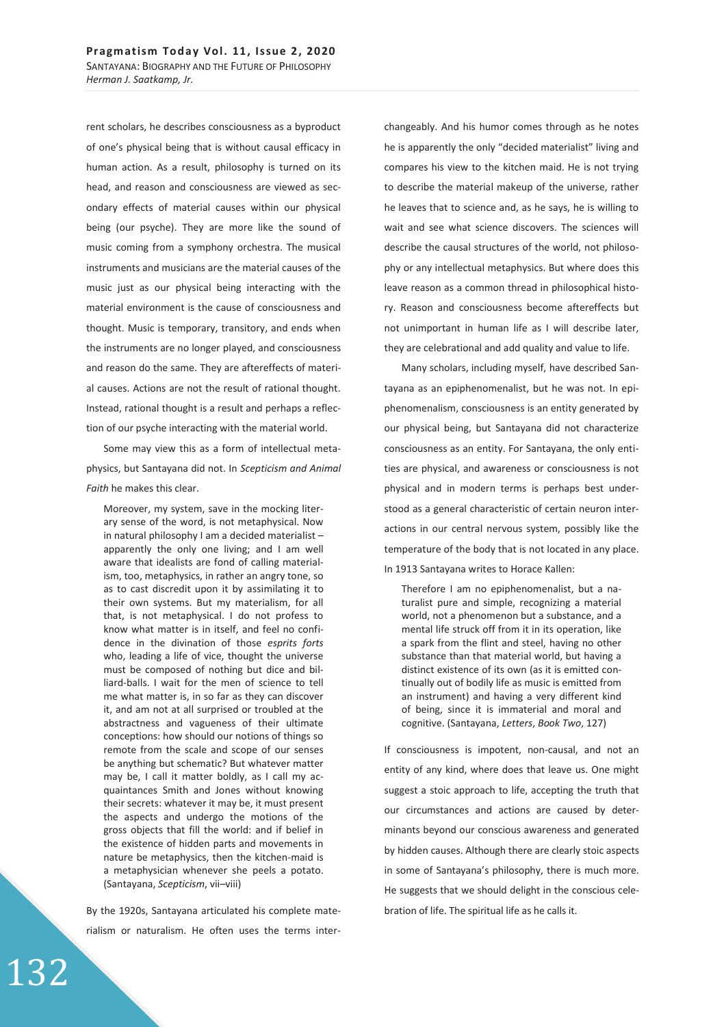rent scholars, he describes consciousness as a byproduct of one's physical being that is without causal efficacy in human action. As a result, philosophy is turned on its head, and reason and consciousness are viewed as secondary effects of material causes within our physical being (our psyche). They are more like the sound of music coming from a symphony orchestra. The musical instruments and musicians are the material causes of the music just as our physical being interacting with the material environment is the cause of consciousness and thought. Music is temporary, transitory, and ends when the instruments are no longer played, and consciousness and reason do the same. They are aftereffects of material causes. Actions are not the result of rational thought. Instead, rational thought is a result and perhaps a reflection of our psyche interacting with the material world.

Some may view this as a form of intellectual metaphysics, but Santayana did not. In *Scepticism and Animal Faith* he makes this clear.

Moreover, my system, save in the mocking literary sense of the word, is not metaphysical. Now in natural philosophy I am a decided materialist – apparently the only one living; and I am well aware that idealists are fond of calling materialism, too, metaphysics, in rather an angry tone, so as to cast discredit upon it by assimilating it to their own systems. But my materialism, for all that, is not metaphysical. I do not profess to know what matter is in itself, and feel no confidence in the divination of those *esprits forts* who, leading a life of vice, thought the universe must be composed of nothing but dice and billiard-balls. I wait for the men of science to tell me what matter is, in so far as they can discover it, and am not at all surprised or troubled at the abstractness and vagueness of their ultimate conceptions: how should our notions of things so remote from the scale and scope of our senses be anything but schematic? But whatever matter may be, I call it matter boldly, as I call my acquaintances Smith and Jones without knowing their secrets: whatever it may be, it must present the aspects and undergo the motions of the gross objects that fill the world: and if belief in the existence of hidden parts and movements in nature be metaphysics, then the kitchen-maid is a metaphysician whenever she peels a potato. (Santayana, *Scepticism*, vii–viii)

By the 1920s, Santayana articulated his complete materialism or naturalism. He often uses the terms interchangeably. And his humor comes through as he notes he is apparently the only "decided materialist" living and compares his view to the kitchen maid. He is not trying to describe the material makeup of the universe, rather he leaves that to science and, as he says, he is willing to wait and see what science discovers. The sciences will describe the causal structures of the world, not philosophy or any intellectual metaphysics. But where does this leave reason as a common thread in philosophical history. Reason and consciousness become aftereffects but not unimportant in human life as I will describe later, they are celebrational and add quality and value to life.

Many scholars, including myself, have described Santayana as an epiphenomenalist, but he was not. In epiphenomenalism, consciousness is an entity generated by our physical being, but Santayana did not characterize consciousness as an entity. For Santayana, the only entities are physical, and awareness or consciousness is not physical and in modern terms is perhaps best understood as a general characteristic of certain neuron interactions in our central nervous system, possibly like the temperature of the body that is not located in any place. In 1913 Santayana writes to Horace Kallen:

Therefore I am no epiphenomenalist, but a naturalist pure and simple, recognizing a material world, not a phenomenon but a substance, and a mental life struck off from it in its operation, like a spark from the flint and steel, having no other substance than that material world, but having a distinct existence of its own (as it is emitted continually out of bodily life as music is emitted from an instrument) and having a very different kind of being, since it is immaterial and moral and cognitive. (Santayana, *Letters*, *Book Two*, 127)

If consciousness is impotent, non-causal, and not an entity of any kind, where does that leave us. One might suggest a stoic approach to life, accepting the truth that our circumstances and actions are caused by determinants beyond our conscious awareness and generated by hidden causes. Although there are clearly stoic aspects in some of Santayana's philosophy, there is much more. He suggests that we should delight in the conscious celebration of life. The spiritual life as he calls it.

132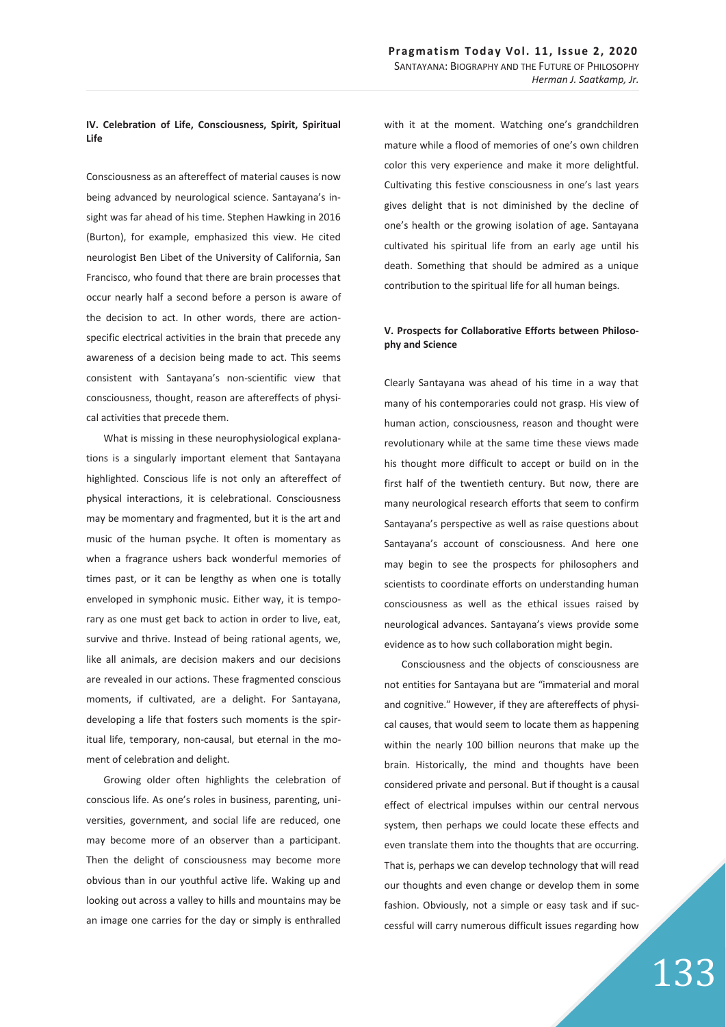### **IV. Celebration of Life, Consciousness, Spirit, Spiritual Life**

Consciousness as an aftereffect of material causes is now being advanced by neurological science. Santayana's insight was far ahead of his time. Stephen Hawking in 2016 (Burton), for example, emphasized this view. He cited neurologist Ben Libet of the University of California, San Francisco, who found that there are brain processes that occur nearly half a second before a person is aware of the decision to act. In other words, there are actionspecific electrical activities in the brain that precede any awareness of a decision being made to act. This seems consistent with Santayana's non-scientific view that consciousness, thought, reason are aftereffects of physical activities that precede them.

What is missing in these neurophysiological explanations is a singularly important element that Santayana highlighted. Conscious life is not only an aftereffect of physical interactions, it is celebrational. Consciousness may be momentary and fragmented, but it is the art and music of the human psyche. It often is momentary as when a fragrance ushers back wonderful memories of times past, or it can be lengthy as when one is totally enveloped in symphonic music. Either way, it is temporary as one must get back to action in order to live, eat, survive and thrive. Instead of being rational agents, we, like all animals, are decision makers and our decisions are revealed in our actions. These fragmented conscious moments, if cultivated, are a delight. For Santayana, developing a life that fosters such moments is the spiritual life, temporary, non-causal, but eternal in the moment of celebration and delight.

Growing older often highlights the celebration of conscious life. As one's roles in business, parenting, universities, government, and social life are reduced, one may become more of an observer than a participant. Then the delight of consciousness may become more obvious than in our youthful active life. Waking up and looking out across a valley to hills and mountains may be an image one carries for the day or simply is enthralled

with it at the moment. Watching one's grandchildren mature while a flood of memories of one's own children color this very experience and make it more delightful. Cultivating this festive consciousness in one's last years gives delight that is not diminished by the decline of one's health or the growing isolation of age. Santayana cultivated his spiritual life from an early age until his death. Something that should be admired as a unique contribution to the spiritual life for all human beings.

## **V. Prospects for Collaborative Efforts between Philosophy and Science**

Clearly Santayana was ahead of his time in a way that many of his contemporaries could not grasp. His view of human action, consciousness, reason and thought were revolutionary while at the same time these views made his thought more difficult to accept or build on in the first half of the twentieth century. But now, there are many neurological research efforts that seem to confirm Santayana's perspective as well as raise questions about Santayana's account of consciousness. And here one may begin to see the prospects for philosophers and scientists to coordinate efforts on understanding human consciousness as well as the ethical issues raised by neurological advances. Santayana's views provide some evidence as to how such collaboration might begin.

Consciousness and the objects of consciousness are not entities for Santayana but are "immaterial and moral and cognitive." However, if they are aftereffects of physical causes, that would seem to locate them as happening within the nearly 100 billion neurons that make up the brain. Historically, the mind and thoughts have been considered private and personal. But if thought is a causal effect of electrical impulses within our central nervous system, then perhaps we could locate these effects and even translate them into the thoughts that are occurring. That is, perhaps we can develop technology that will read our thoughts and even change or develop them in some fashion. Obviously, not a simple or easy task and if successful will carry numerous difficult issues regarding how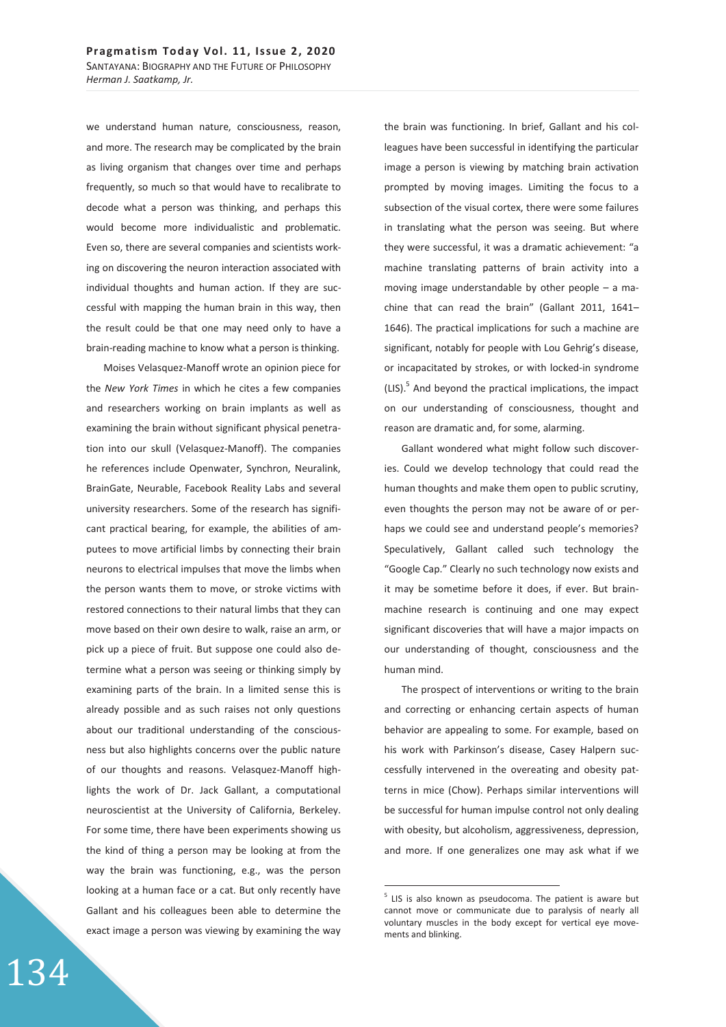we understand human nature, consciousness, reason, and more. The research may be complicated by the brain as living organism that changes over time and perhaps frequently, so much so that would have to recalibrate to decode what a person was thinking, and perhaps this would become more individualistic and problematic. Even so, there are several companies and scientists working on discovering the neuron interaction associated with individual thoughts and human action. If they are successful with mapping the human brain in this way, then the result could be that one may need only to have a brain-reading machine to know what a person is thinking.

Moises Velasquez-Manoff wrote an opinion piece for the *New York Times* in which he cites a few companies and researchers working on brain implants as well as examining the brain without significant physical penetration into our skull (Velasquez-Manoff). The companies he references include Openwater, Synchron, Neuralink, BrainGate, Neurable, Facebook Reality Labs and several university researchers. Some of the research has significant practical bearing, for example, the abilities of amputees to move artificial limbs by connecting their brain neurons to electrical impulses that move the limbs when the person wants them to move, or stroke victims with restored connections to their natural limbs that they can move based on their own desire to walk, raise an arm, or pick up a piece of fruit. But suppose one could also determine what a person was seeing or thinking simply by examining parts of the brain. In a limited sense this is already possible and as such raises not only questions about our traditional understanding of the consciousness but also highlights concerns over the public nature of our thoughts and reasons. Velasquez-Manoff highlights the work of Dr. Jack Gallant, a computational neuroscientist at the University of California, Berkeley. For some time, there have been experiments showing us the kind of thing a person may be looking at from the way the brain was functioning, e.g., was the person looking at a human face or a cat. But only recently have Gallant and his colleagues been able to determine the exact image a person was viewing by examining the way the brain was functioning. In brief, Gallant and his colleagues have been successful in identifying the particular image a person is viewing by matching brain activation prompted by moving images. Limiting the focus to a subsection of the visual cortex, there were some failures in translating what the person was seeing. But where they were successful, it was a dramatic achievement: "a machine translating patterns of brain activity into a moving image understandable by other people – a machine that can read the brain" (Gallant 2011, 1641– 1646). The practical implications for such a machine are significant, notably for people with Lou Gehrig's disease, or incapacitated by strokes, or with locked-in syndrome  $(LIS).<sup>5</sup>$  And beyond the practical implications, the impact on our understanding of consciousness, thought and reason are dramatic and, for some, alarming.

Gallant wondered what might follow such discoveries. Could we develop technology that could read the human thoughts and make them open to public scrutiny, even thoughts the person may not be aware of or perhaps we could see and understand people's memories? Speculatively, Gallant called such technology the "Google Cap." Clearly no such technology now exists and it may be sometime before it does, if ever. But brainmachine research is continuing and one may expect significant discoveries that will have a major impacts on our understanding of thought, consciousness and the human mind.

The prospect of interventions or writing to the brain and correcting or enhancing certain aspects of human behavior are appealing to some. For example, based on his work with Parkinson's disease, Casey Halpern successfully intervened in the overeating and obesity patterns in mice (Chow). Perhaps similar interventions will be successful for human impulse control not only dealing with obesity, but alcoholism, aggressiveness, depression, and more. If one generalizes one may ask what if we

-

<sup>&</sup>lt;sup>5</sup> LIS is also known as pseudocoma. The patient is aware but cannot move or communicate due to paralysis of nearly all voluntary muscles in the body except for vertical eye movements and blinking.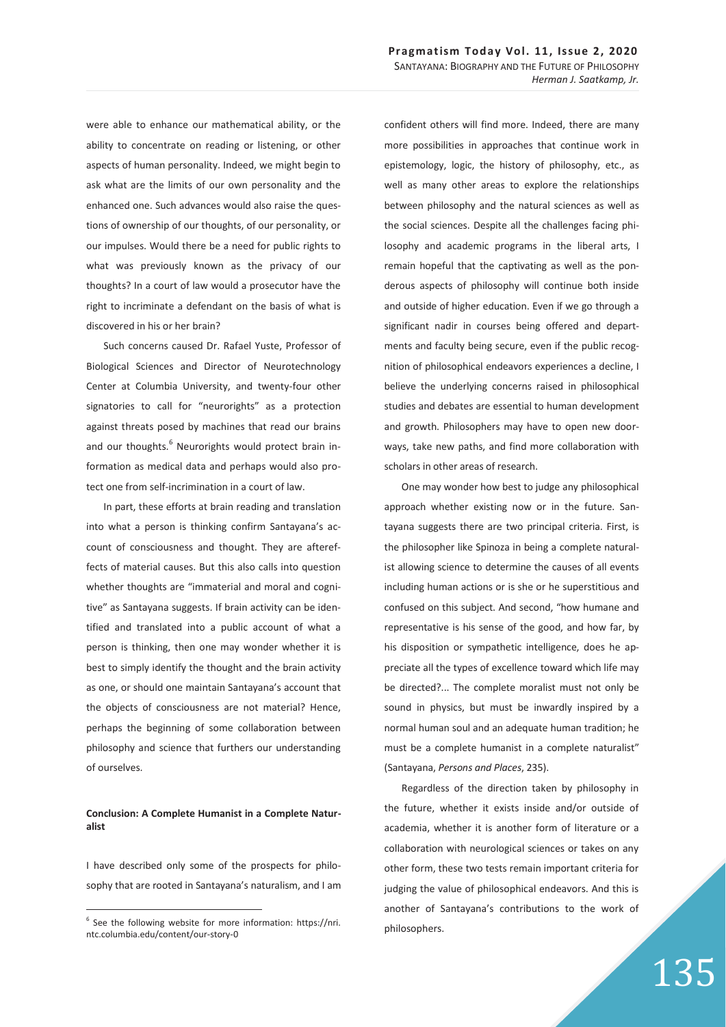were able to enhance our mathematical ability, or the ability to concentrate on reading or listening, or other aspects of human personality. Indeed, we might begin to ask what are the limits of our own personality and the enhanced one. Such advances would also raise the questions of ownership of our thoughts, of our personality, or our impulses. Would there be a need for public rights to what was previously known as the privacy of our thoughts? In a court of law would a prosecutor have the right to incriminate a defendant on the basis of what is discovered in his or her brain?

Such concerns caused Dr. Rafael Yuste, Professor of Biological Sciences and Director of Neurotechnology Center at Columbia University, and twenty-four other signatories to call for "neurorights" as a protection against threats posed by machines that read our brains and our thoughts.<sup>6</sup> Neurorights would protect brain information as medical data and perhaps would also protect one from self-incrimination in a court of law.

In part, these efforts at brain reading and translation into what a person is thinking confirm Santayana's account of consciousness and thought. They are aftereffects of material causes. But this also calls into question whether thoughts are "immaterial and moral and cognitive" as Santayana suggests. If brain activity can be identified and translated into a public account of what a person is thinking, then one may wonder whether it is best to simply identify the thought and the brain activity as one, or should one maintain Santayana's account that the objects of consciousness are not material? Hence, perhaps the beginning of some collaboration between philosophy and science that furthers our understanding of ourselves.

### **Conclusion: A Complete Humanist in a Complete Naturalist**

I have described only some of the prospects for philosophy that are rooted in Santayana's naturalism, and I am

 $\overline{a}$ 

confident others will find more. Indeed, there are many more possibilities in approaches that continue work in epistemology, logic, the history of philosophy, etc., as well as many other areas to explore the relationships between philosophy and the natural sciences as well as the social sciences. Despite all the challenges facing philosophy and academic programs in the liberal arts, I remain hopeful that the captivating as well as the ponderous aspects of philosophy will continue both inside and outside of higher education. Even if we go through a significant nadir in courses being offered and departments and faculty being secure, even if the public recognition of philosophical endeavors experiences a decline, I believe the underlying concerns raised in philosophical studies and debates are essential to human development and growth. Philosophers may have to open new doorways, take new paths, and find more collaboration with scholars in other areas of research.

One may wonder how best to judge any philosophical approach whether existing now or in the future. Santayana suggests there are two principal criteria. First, is the philosopher like Spinoza in being a complete naturalist allowing science to determine the causes of all events including human actions or is she or he superstitious and confused on this subject. And second, "how humane and representative is his sense of the good, and how far, by his disposition or sympathetic intelligence, does he appreciate all the types of excellence toward which life may be directed?... The complete moralist must not only be sound in physics, but must be inwardly inspired by a normal human soul and an adequate human tradition; he must be a complete humanist in a complete naturalist" (Santayana, *Persons and Places*, 235).

Regardless of the direction taken by philosophy in the future, whether it exists inside and/or outside of academia, whether it is another form of literature or a collaboration with neurological sciences or takes on any other form, these two tests remain important criteria for judging the value of philosophical endeavors. And this is another of Santayana's contributions to the work of philosophers.

<sup>&</sup>lt;sup>6</sup> See the following website for more information: https://nri. ntc.columbia.edu/content/our-story-0